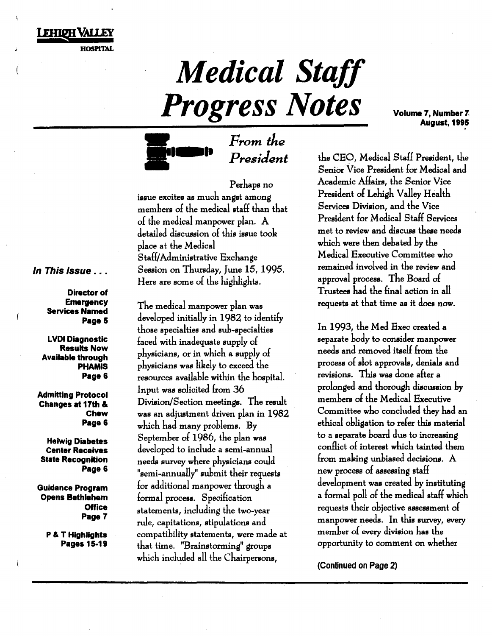

# *Medical Staff*  Progress Notes **Volume 7, Number 7.**



*From the President* 

Perhaps no issue excites as much angst among members of the medical staff than that of the medical manpower plan. A detailed discussion of this issue took place at the Medical Staff/ Administrative Exchange Session on Thursday, June 15, 1995. Here are some of the highlights.

The medical manpower plan was developed initially in 1982 to identify those specialties and sub-specialties faced with inadequate supply of physicians, or in which a supply of physicians was likely to exceed the resources available within the hospital. Input was solicited from 36 Division/Section meetings. The result was an adjustment driven plan in 1982 which had many problems. By September of 1986, the plan was developed to include a semi-annual needs survey where physicians could "semi-annually" submit their requests for additional manpower through a formal process. Specification statements, including the two-year rule, capitations, stipulations and compatibility statements, were made at that time. "Brainstorming" groups which included all the Chairpersons,

August, 1995 .

the CEO, Medical Staff President, the Senior Vice President for Medical and Academic Affairs, the Senior Vice President of Lehigh Valley Health Services Division, and the Vice President for Medical Staff Services met to review and discuss these needs which were then debated by the Medical Executive Committee who remained involved in the review and approval process. The Board of Trustees had the final action in all requests at that time as it does now.

In 1993, the Med Exec created a separate body to consider manpower needs and removed itself from the process of slot approvals, denials and revisions. This was done after a prolonged and thorough discussion by members of the Medical Executive Committee who concluded they had an ethical obligation to refer this material to a separate board due to increasing conflict of interest which tainted them from making unbiased decisions. A new process of assessing staff development was created by instituting a formal poll of the medical staff which requests their objective assessment of manpower needs. In this survey, every member of every division has the opportunity to comment on whether

(Continued on Page 2)

In This Issue ...

Director of **Emergency** Services Named Page 5

LVDI Diagnostic Results Now Available through PHAMIS Page 6

Admitting Protocol Changes at 17th & Chew Page 6

Helwig Diabetes Center Receives State Recognition Page 6

Guidance Program Opens Bethlehem **Office** Page 7

> P & T Highlights Pages 15-19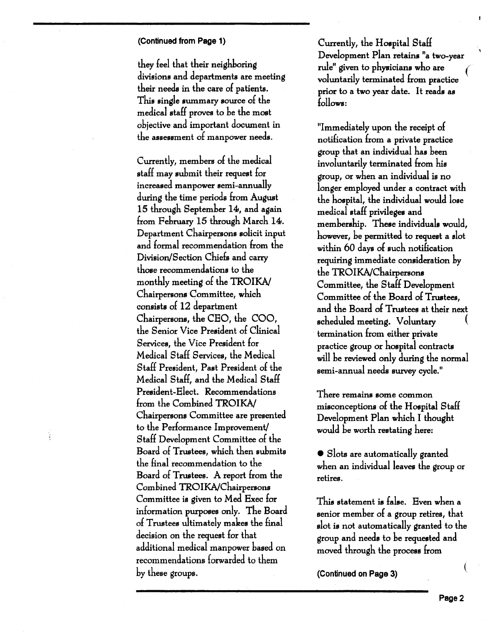#### (Continued from Page 1)

they feel that their neighboring divisions and departments are meeting their needs in the care of patients. This single summary source of the medical staff proves to be the most objective and important document in the assessment of manpower needs.

Currently, members of the medical staff may submit their request for increased manpower semi-annually during the time periods from August 15 through September 14, and again from February 15 through March 14. Department Chairpersons solicit input and formal recommendation from the Division/Section Chiefs and carry those recommendations to the monthly meeting of the TROIKA/ Chairpersons Committee, which consists of 12 department Chairpersons, the CEO, the COO, the Senior Vice President of Clinical Services, the Vice President for Medical Staff Services, the Medical Staff President, Past President of the Medical Staff, and the Medical Staff President-Elect. Recommendations from the Combined TROIKA/ Chairpersons Committee are presented to the Performance Improvement/ Staff Development Committee of the Board of Trustees, which then submits the final recommendation to the Board of Trustees. A report from the Combined TROIKA/Chairpersons Committee is given to Med Exec for information purposes only. The Board of Trustees ultimately makes the final decision on the request for that additional medical manpower based on recommendations forwarded to them by these groups.

Currently, the Hospital Staff Development Plan retains "a two-year rule" given to physicians who are *(* · voluntarily terminated from practice prior to a two year date. It reads as follows:

"Immediately upon the receipt of notification from a private practice group that an individual has been involuntarily terminated from his group, or when an individual is no longer employed under a contract with the hospital, the individual would lose medical staff privileges and membership. These individuals would, however, be permitted to request a slot within 60 days of such notification requiring immediate consideration by the TROIKA/Chairpersons Committee, the Staff Development Committee of the Board of Trustees, and the Board of Trustees at their next scheduled meeting. Voluntary ( termination from either private practice group or hospital contracts will be reviewed only during the normal semi-annual needs survey cycle."

There remains some common misconceptions of the Hospital Staff Development Plan which I thought would be worth restating here:

e Slots are automatically granted when an individual leaves the group or retires.

This statement is false. Even when a senior member of a group retires, that slot is not automatically granted to the group and needs to be requested and moved through the process from

(Continued on Page 3)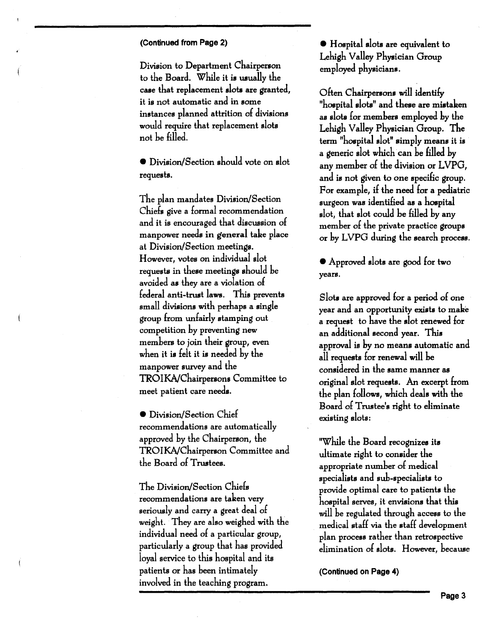#### (Continued from Page 2)

Division to Department Chairperson to the Board. While it is usually the case that replacement slots are granted, it is not automatic and in some instances planned attrition of divisions would require that replacement slots not be filled.

e Division/Section should vote on slot requests.

The plan mandates Division/Section Chiefs give a formal recommendation and it is encouraged that discussion of manpower needs in general take place at Division/Section meetings. However, votes on individual slot requests in these meetings should be avoided as they are a violation of federal anti-trust laws. This prevents small divisions with perhaps a single group from unfairly stamping out competition by preventing new members to join their group, even when it is felt it is needed by the manpower survey and the TROIKNChairpersons Committee to meet patient care needs.

• Division/Section Chief recommendations are automatically approved by the Chairperson, the TROIKNChairperson Committee and the Board of Trustees.

The Division/Section Chiefs recommendations are taken very seriously and carry a great deal of weight. They are also weighed with the individual need of a particular group, particularly a group that has provided loyal service to this hospital and its patients or has been intimately involved in the teaching program.

e Hospital slots are equivalent to Lehigh Valley Physician Group employed physicians.

Often Chairpersons will identify "hospital slots" and these are mistaken as slots for members employed by the Lehigh Valley Physician Group. The term "hospital slot" simply means it is a generic slot which can be filled by any member of the division or LVPG, and is not given to one specific group. For example, if the need for a pediatric surgeon was identified as a hospital slot, that slot could be filled by any member of the private practice groups or by L VPG during the search process.

e Approved slots are good for two years.

Slots are approved for a period of one year and an opportunity exists to make a request to have the slot renewed for an additional second year. This approval is by no means automatic and all requests for renewal will be considered in the same manner as original slot requests. An excerpt from the plan follows, which deals with the Board of Trustee's right to eliminate existing slots:

"While the Board recognizes its ultimate right to consider the appropriate number of medical specialists and sub-specialists to provide optimal care to patients the hospital serves, it envisions that this will be regulated through access to the medical staff via the staff development plan process rather than retrospective elimination of slots. However, because

(Continued on Page 4)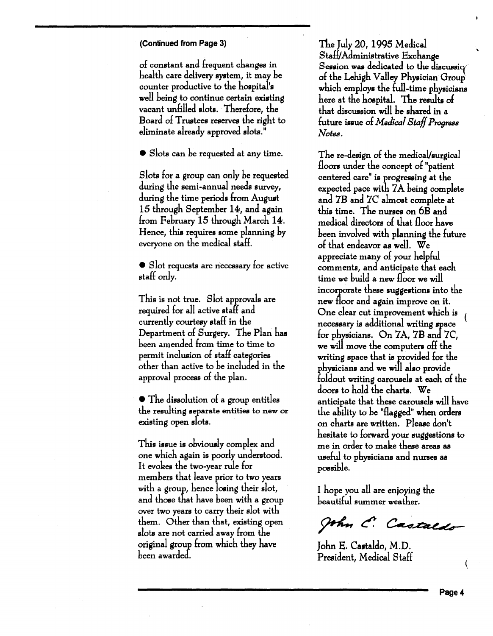#### (Continued from Page 3)

of constant and frequent changes in health care delivery system, it may be counter productive to the hospital's well being to continue certain existing vacant unfilled slots. Therefore, the Board of Trustees reserves the right to eliminate already approved slots."

**e** Slots can be requested at any time.

Slots for a group can only be requested during the semi-annual needs survey, during the time periods from August 15 through September 14, and again from February 15 through March 14. Hence, this requires some planning by everyone on the medical staff.

**e** Slot requests are necessary for active staff only.

This is not true. Slot approvals are required for all active staH and currently courtesy staff in the Department of Surgery. The Plan has been amended from time to time to permit inclusion of staff categories other than active to be included in the approval process of the plan.

**e** The dissolution of a group entitles the resulting separate entities to new or existing open slots.

This issue is obviously complex and one which again is poorly understood. It evokes the two-year rule for members that leave prior to two years with a group, hence losing their slot, and those that have been with a group over two years to carry their slot with them. Other than that, existing open slots are not carried away from the original group from which they have been awarded.

The July 20, 1995 Medical Staff/ Administrative Exchange Session was dedicated to the discussic $\epsilon$ of the Lehigh Valley Physician Group which employs the full-time physicians here at the hospital. The results of that discussion will be shared in a future issue of *Medical Staff Progress Notes.* 

.,

The re-design of the medical/surgical floors under the concept of "patient centered care" is progressing at the expected pace with 7A being complete and 7B and 7C almost complete at this time. The nurses on 6B and medical directors of that floor have been involved with planning the future of that endeavor as well. We appreciate many of your helpful comments, and anticipate that each time we build a new floor we will incotporate these suggestions into the new floor and again improve on it. One clear cut improvement which is ( necessary is additional writing space for physicians. On 7A, 7B and 7C, we will move the computers off the writing space that is provided for the physicians and we will also provide foldout writing carousels at each of the doors to hold the charts. We anticipate that these carousels will have the ability to be "flagged" when orders on charts are written. Please don't hesitate to forward your suggestions to me in order to make these areas as useful to physicians and nurses as possible.

I hope you all are enjoying the beautiful summer weather.

John C. Castaldo

John E. Castaldo, M.D. President, Medical Staff

Page4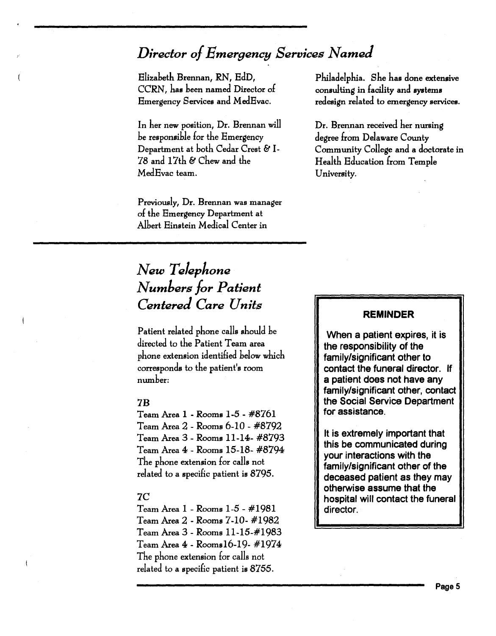# *Director o/ Emergency Services Named*

Elizabeth Brennan, RN, EdD, CCRN, has been named Director of Emergency Services and MedEvac.

In her new position, Dr. Brennan will be responsible for the Emergency Department at both Cedar Crest & 1- 78 and 17th & Chew and the MedEvac team.

Previously, Dr. Brennan was manager of the Emergency Department at Albert Einstein Medical Center in

# *New Telephone Numbers /or Patient Centered Care Units*

Patient related phone calls should be directed to the Patient Team area phone extension identified below which corresponds to the patient's room nwnber:

#### 7B

Team Area 1 - Rooms 1-5 - #8761 Team Area 2- Rooms 6-10- #8792 Team Area 3- Rooms 11-14- #8793 Team Area 4- Rooms 15-18- #8794 The phone extension for calls not related to a specific patient is 8795.

#### 7C

Team Area 1 -Rooms 1-5- #1981 Team Area 2- Rooms 7-10- #1982 Team Area 3- Rooms 11-15-#1983 Team Area 4- Roomsl6-19- #1974 The phone extension for calls not related to a specific patient is 8755.

Philadelphia. She has done extensive consulting in facility and systems redesign related to emergency services.

Dr. Brennan received her nursing degree from Delaware County Community College and a doctorate in Health Education from Temple University.

#### **REMINDER**

When a patient expires, it is the responsibility of the family/significant other to contact the funeral director. If a patient does not have any family/significant other, contact the Social Service Department for assistance.

It is extremely important that this be communicated during your interactions with the family/significant other of the deceased patient as they may otherwise assume that the hospital will contact the funeral director.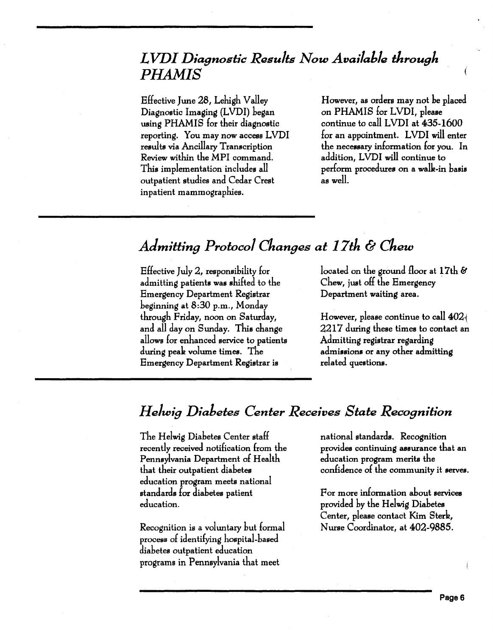# *L VDI Diagnostic Results Now Available through PHAMIS*

Effective June 28, Lehigh Valley Diagnostic Imaging (LVDI) began using PHAMIS for their diagnostic reporting. You may now access LVDI results via Ancillary Transcription Review within the MPI command. This implementation includes all outpatient studies and Cedar Crest inpatient mammographies.

However, as orders may not be placed on PHAMIS for LVDI, please continue to call LVDI at 435-1600 for an appointment. LVDI will enter the necessary information for you. In addition, LVDI will continue to perform procedures on a walk-in basis as well.

# *Admitting Protocol Changes at 17th* & *Chew*

Effective July 2, responsibility for admitting patients was shifted to the Emergency Department Registrar beginning at 8:30 p.m., Monday through Friday, noon on Saturday, and all day on Sunday. This change allows for enhanced service to patients during peak volume times. The Emergency Department Registrar is

located on the ground floor at 17th & Chew, just off the Emergency Department waiting area.

However, please continue to call  $4024$ 2217 during these times to contact an Admitting registrar regarding admissions or any other admitting related questions.

# *Helwig Diabetes Center Receives State Recognition*

The Helwig Diabetes Center staff recently received notification from the Pennsylvania Department of Health that their outpatient diabetes education program meets national standards for diabetes patient education.

Recognition is a voluntary but formal process of identifying hospital-based diabetes outpatient education programs in Pennsylvania that meet

national standards. Recognition provides continuing assurance that an education program merits the confidence of the community it serves.

For more information about services provided by the Helwig Diabetes Center, please contact Kim Sterk, Nurse Coordinator, at 402-9885.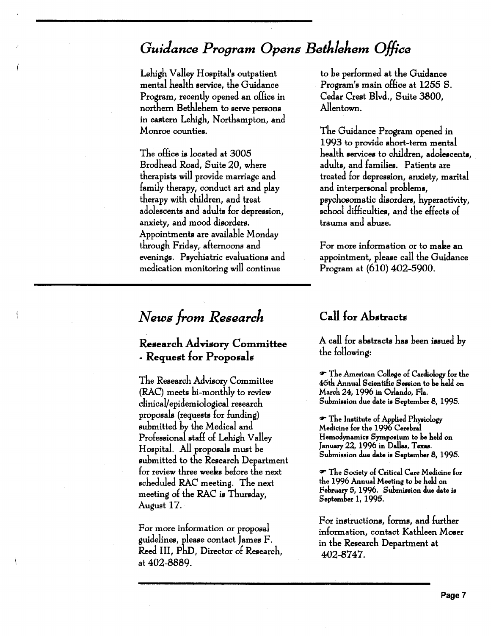# *Guidance Program Opens Bethlehem Office*

Lehigh Valley Hospital's outpatient mental health service, the Guidance Program, recently opened an office in northern Bethlehem to serve persons in eastern Lehigh, Northampton, and Monroe counties.

The office is located at 3005 Brodhead Road, Suite 20, where therapists will provide marriage and family therapy, conduct art and play therapy with children, and treat adolescents and adults for depression, anxiety, and mood disorders. Appointments are available Monday through Friday, afternoons and evenings. Psychiatric evaluations and medication monitoring will continue

# *News /rom Research*

## Research Advisory Committee - Request for Proposals

The Research Advisory Committee (RAC) meets bi-monthly to review clinical/epidemiological research proposals (requests for funding) submitted by the Medical and Professional staff of Lehigh Valley Hospital. All proposals must be submitted to the Research Department for review three weeks before the next scheduled RAC meeting. The next meeting of the RAC is Thursday, August 17.

For more information or proposal guidelines, please contact James F. Reed III, PhD, Director of Research, at 402-8889.

to be performed at the Guidance Program's main office at 1255 S. Cedar Crest Blvd., Suite 3800, Allentown.

The Guidance Program opened in 1993 to provide short-term mental health services to children, adolescents, adults, and families. Patients are treated for depression, anxiety, marital and interpersonal problems, psychosomatic disorders, hyperactivity, school difficulties, and the effects of trauma and abuse.

For more information or to make an appointment, please call the Guidance Program at (610) 402-5900.

# Call for Abstracts

A call for abstracts has been issued by the following:

rr The American College of Cardiology for the 45th Annual Scientific Session to be held on March 24, 1996 in Orlando, Fla. Submission due date is September 8, 1995.

The Institute of Applied Physiology Medicine for the 1996 Cerebral Hemodynamics Symposium to be held on January 22, 1996 in Dallas, Texas. Submission due date is September 8, 1995.

rr The Society of Critical Care Medicine for the 1996 Annual Meeting to be held on February 5, 1996. Submission due date is Septemher 1, 1995.

For instructions, forms, and further information, contact Kathleen Moser in the Research Department at 402-8747.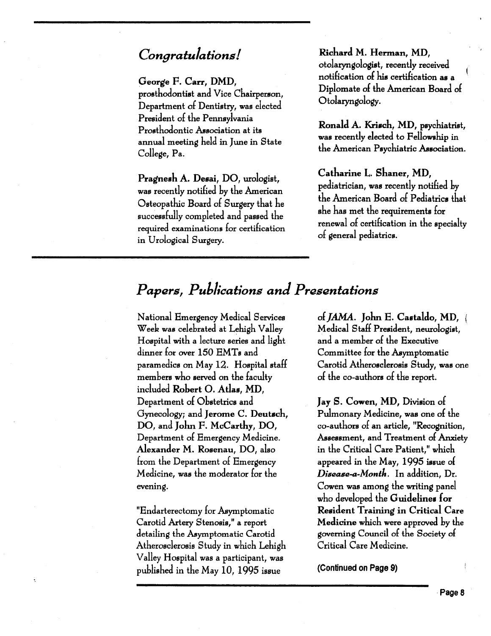# *Congratulations!*

George F. Carr, DMD, prosthodontist and Vice Chairperson, Department of Dentistry, was elected President of the Pennsylvania Prosthodontic Association at its annual meeting held in June in State College, Pa.

Pragnesh A. Desai, DO, urologist, was recently notified by the American Osteopathic Board of Surgery that he successfully completed and passed the required examinations for certification in Urological Surgery.

Richard M. Herman, MD, otolaryngologist, recently received notification of his certification as a Diplomate of the American Board of Otolaryngology.

Ronald A. Krisch, MD, psychiatrist, was recently elected to Fellowship in the American Psychiatric Association.

Catharine L. Shaner, MD, pediatrician, was recently notified by the American Board of Pediatrics that she has met the requirements for renewal of certification in the specialty of general pediatrics.

# *Papers, Publications and Presentations*

National Emergency Medical Services Week was celebrated at Lehigh Valley Hospital with a lecture series and light dinner for over 150 EMTs and paramedics on May 12. Hospital staff members who served on the faculty included Rohert 0. Atlas, MD, Department of Obstetrics and Gynecology; and Jerome C. Deutsch, DO, and John F. McCarthy, DO, Department of Emergency Medicine. Alexander M. Rosenau, DO, also from the Department of Emergency Medicine, was the moderator for the evening.

"Endarterectomy for Asymptomatic Carotid Artery Stenosis," a reporl detailing the Asymptomatic Carotid Atherosclerosis Study in which Lehigh Valley Hospital was a participant, was published in the May 10, 1995 issue

of *JAMA*. John E. Castaldo, MD, Medical Staff President, neurologist, and a member of the Executive Committee for the Asymptomatic Carotid Atherosclerosis Study, was one of the co-authors of the report.

Jay S. Cowen, MD, Division of Pulmonary Medicine, was one of the co-authors of an article, "Recognition, Assessment, and Treatment of Anxiety in the Critical Care Patient," which appeared in the May, 1995 issue of *Disease-a-Month.* In addition, Dr. Cowen was among the writing panel who developed the Guidelines for Resident Training in Critical Care Medicine which were approved by the governing Council of the Society of Critical Care Medicine.

(Continued on Page 9)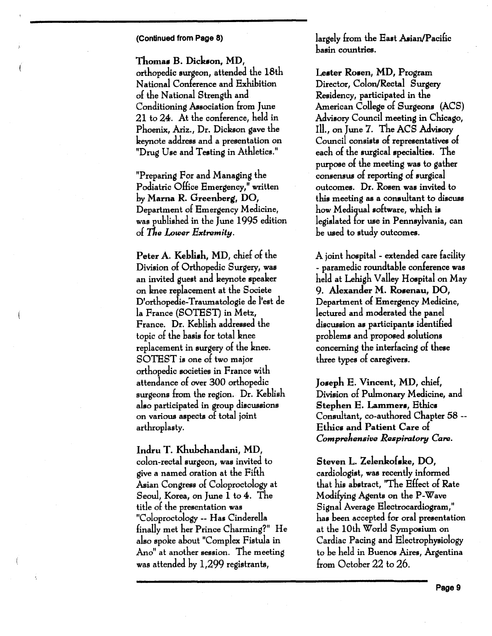#### (Continued from Page 8)

Thoma• B. Dickson, MD, orthopedic surgeon, attended the 18th National Conference and Exhibition of the National Strength and Conditioning Association from June 21 to 24. At the conference, held in Phoenix, Ariz., Dr. Dickson gave the keynote address and a presentation on "Drug Use and Testing in Athletics."

"Preparing For and Managing the Podiatric Office Emergency," written by Marna R. Greenberg, DO, Department of Emergency Medicine, was published in the June 1995 edition of *The Lower Extremity.* 

Peter A. Kehlish, MD, chief of the Division of Orthopedic Surgery, was an invited guest and keynote speaker on knee replacement at the Societe D'orthopedie-Trawnatologie de l'est de la France (SOTEST) in Metz, France. Dr. Keblish addressed the topic of the basis for total knee replacement in surgery of the knee. SOTEST is one of two major orthopedic societies in France with attendance of over 300 orthopedic surgeons from the region. Dr. Keblish also participated in group discussions on various aspects of total joint arthroplasty.

lndru T. Khuhchandani, MD, colon-rectal surgeon, was invited to give a named oration at the Fifth Asian Congress of Coloproctology at Seoul, Korea, on June 1 to 4. The title of the presentation was "Coloproctology -- Has Cinderella finally met her Prince Charming?" He also spoke about "Complex Fistula in Ano" at another session. The meeting was attended by 1,299 registrants,

largely from the East Asian/Pacific basin conntries.

Lester Rosen, MD, Program Director, Colon/Rectal Surgery Residency, participated in the American College of Surgeons (ACS) Advisory Council meeting in Chicago, Ill., on June 7. The ACS Advisory Conncil consists of representatives of each of the surgical specialties. The purpose of the meeting was to gather consensus of reporting of surgical outcomes. Dr. Rosen was invited to this meeting as a consultant to discuss how Mediqual software, which is legislated for use in Pennsylvania, can be used to study outcomes.

A joint hospital- extended care facility - paramedic roundtable conference was held at Lehigh Valley Hospital on May 9. Alexander M. Rosenau, DO, Department of Emergency Medicine, lectured and moderated the panel discussion as participants identified problems and proposed solutions concerning the interfacing of these three types of caregivers.

Joseph E. Vincent, MD, chief, Division of Pulmonary Medicine, and Stephen E. Lammers, Ethics Consultant, co-authored Chapter 58 -- Ethics and Patient Care of *Comprehensive Respiratory Care.* 

Steven L. Zelenkofske, DO, cardiologist, was recently informed that his abstract, ''The Effect of Rate Modifying Agents on the P-Wave Signal Average Electrocardiogram," has been accepted for oral presentation at the lOth World Symposiwn on Cardiac Pacing and Electrophysiology to be held in Buenos Aires, Argentina from October 22 to 26.

Page 9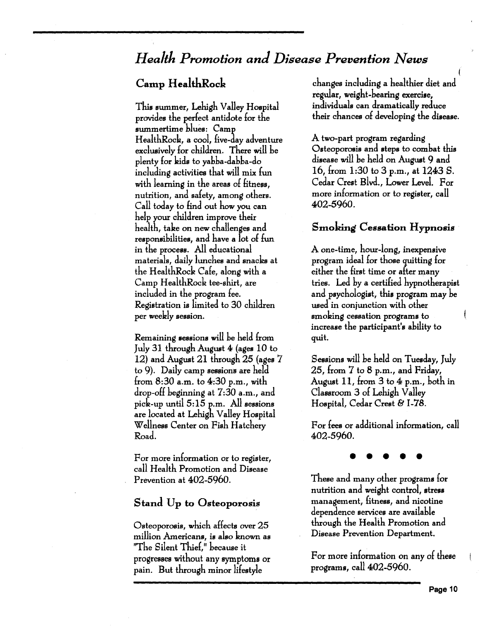# *Health Promotion and Disease Prevention News*

## Camp HealthRock

This summer, Lehigh Valley Hospital provides the perfect antidote for the summertime blues: Camp HealthRock, a cool, five-day adventure exclusively for children. There will be plenty for kids to yabba-dabba-do including activities that will mix fun with learning in the areas of fitness, nutrition, and safety, among others. Call today to find out how you can help your children improve their health, take on new challenges and responsibilities, and have a lot of fun in the process. All educational materials, daily lunches and snacks at the HealthRock Cafe, along with a Camp HealthRock tee-shirt, are included in the program fee. Registration is limited to 30 children per weekly session.

Remaining sessions will be held from July 31 through August 4 (ages 10 to 12) and August 21 through 25 (ages 7 to 9). Daily camp sessions are held from 8:30 a.m. to 4:30 p.m., with drop-off beginning at 7:30 a.m., and pick-up until  $5:15$  p.m. All sessions are located at Lehigh Valley Hospital Wellness Center on Fish Hatchery Road.

For more information or to register, call Health Promotion and Disease Prevention at 402-5960.

#### Stand Up to Osteoporosis

Osteoporosis, which affects over 25 million Americans, is also known as ''The Silent Thief," because it progresses without any symptoms or pain. But through minor lifestyle

changes including a healthier diet and regular, weight-bearing exercise, individuals can dramatically reduce their chances of developing the disease.

(

A two-part program regarding Osteoporosis and steps to combat this disease will be held on August 9 and 16, from 1:30 to 3 p.m., at 1243 S. Cedar Crest Blvd., Lower Level. For more information or to register, call 402-5960.

#### **Smoking Cessation Hypnosis**

A one-time, hour-long, inexpensive program ideal for those quitting for either the first time or after many tries. Led by a certified hypnotherapist and psychologist, this program may be used in conjunction with other smoking cessation programs to increase the participant's ability to quit.

Sessions will be held on Tuesday, July 25, from 7 to 8 p.m., and Friday, August 11, from 3 to 4 p.m., both in Classroom 3 of Lehigh Valley Hospital, Cedar Crest & I-78.

For fees or additional information, call 402-5960.

• • • • •

These and many other programs for nutrition and weight control, stress management, fitness, and nicotine dependence services are available through the Health Promotion and Disease Prevention Department.

For more information on any of these programs, call 402-5960.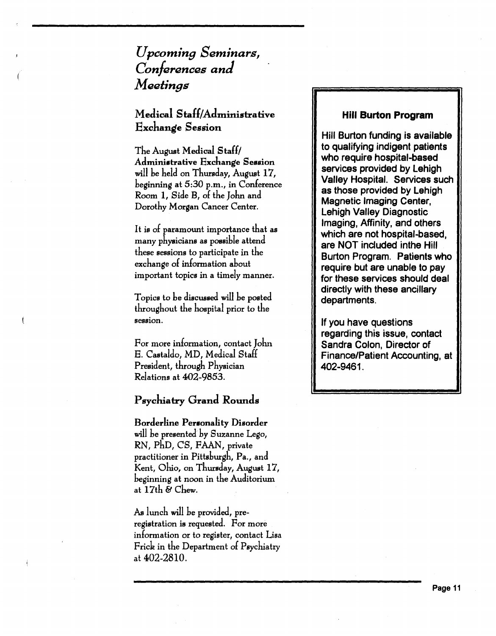# *Upcoming Seminars, Conferences and Meetings*

# Medical Staff/Administrative Exchange Session

The August Medical Staff/ Administrative Exchange Session will be held on Thursday, August 17, beginning at 5:30 p.m., in Conference Room 1, Side B, of the John and Dorothy Morgan Cancer Center.

It is of paramount importance that as many physicians as possible attend these sessions to participate in the exchange of information about important topics in a timely manner.

Topics to be discussed will be posted throughout the hospital prior to the session.

For more information, contact John E. Castaldo, MD, Medical Staff President, through Physician Relations at 402-9853.

## Psychiatry Grand Rounds

Borderline Personality Disorder will be presented by Suzanne Lego, RN, PhD, CS, FAAN, private practitioner in Pittsburgh, Pa., and Kent, Ohio, on Thursday, August 17, beginning at noon in the Auditorium at  $17$ th  $\&$  Chew.

As lunch will be provided, preregistration is requested. For more information or to register, contact Lisa Frick in the Department of Psychiatry at 402-2810.

#### **Hill Burton Program**

Hill Burton funding is available to qualifying indigent patients who require hospital-based services provided by Lehigh Valley Hospital. Services such as those provided by Lehigh Magnetic Imaging Center, Lehigh Valley Diagnostic Imaging, Affinity, and others which are not hospital-based, are NOT included inthe Hill Burton Program. Patients who require but are unable to pay for these services should deal directly with these ancillary departments.

If you have questions regarding this issue, contact Sandra Colon, Director of Finance/Patient Accounting, at 402-9461.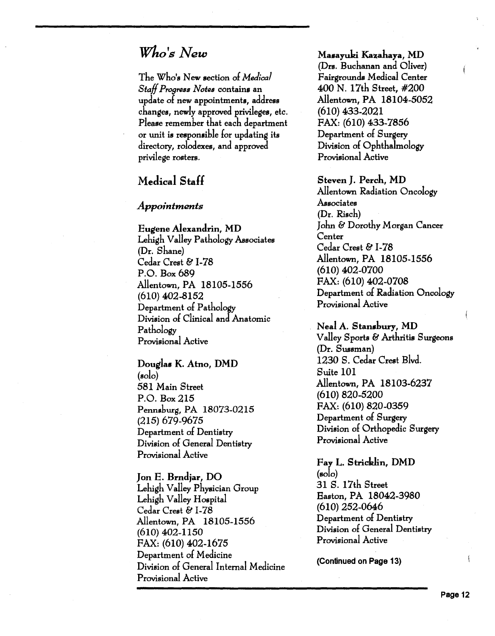# *"Who's New*

The Who's New section of *Medica/ Staff Progress Notes* contains an update of new appointments, address changes, newly approved privileges, etc. Please remember that each department or unit is responsible for updating its directory, rolodexes, and approved privilege rosters.

## Medical Staff

#### *Appointments*

Eugene Alexandrin, MD Lehigh Valley Pathology Associates (Dr. Shane) Cedar Crest & I-78 P.O. Box 689 Allentown, PA 18105-1556 (610) 402-8152 Department of Pathology Division of Clinical and Anatomic Pathology Provisional Active

Douglas K. Atno, DMD  $({\rm solo})$ 581 Main Street P.O. Box 215 Pennsburg, PA 18073-0215 (215) 679-9675 Department of Dentistry Division of General Dentistry Provisional Active

Jon E. Brndjar, DO Lehigh Valley Physician Group Lehigh Valley Hospital Cedar Crest & 1-78 Allentown, PA 18105-1556 (610) 402-1150 FAX: (610) 402-1675 Department of Medicine Division of General Internal Medicine Provisional Active

Masayuki Kazahaya, MD (Drs. Buchanan and Oliver) Fairgrounds Medical Center 400 N. 17th Street, #200 Allentown, PA 18104-5052 (610) 433-2021 FAX: (610) 433-7856 Department of Surgery Division of Ophthalmology Provisional Active

Steven J. Perch, MD Allentown Radiation Oncology Associates (Dr. Risch) John & Dorothy Morgan Cancer Center Cedar Crest & I-78 Allentown, PA 18105-1556 (610) 402-0700 FAX: (610) 402-0708 Department of Radiation Oncology Provisional Active

Neal A. Stansbury, MD Valley Sports & Arthritis Surgeons (Dr. Sussman) 1230 S. Cedar Crest Blvd. Suite 101 Allentown, PA 18103-6237 (610) 820-5200 FAX: (610) 820-0359 Department of Surgery Division of Orthopedic Surgery Provisional Active

Fay L. Stricklin, DMD (solo) 31 S. 17th Street Easton, PA 18042-3980 (610) 252-0646 Department of Dentistry Division of General Dentistry Provisional Active

(Continued on Page 13)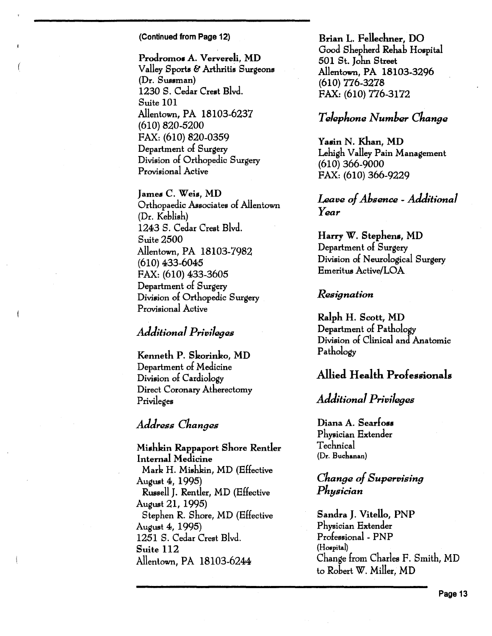(Continued from Page 12)

Prodrornos A. Ververeli, MD Valley Sports & Arthritis Surgeons (Dr. Sussman) 1230 S. Cedar Crest Blvd. Suite 101 Allentown, PA 18103-6237 (610) 820-5200 FAX: (610) 820-0359 Department of Surgery Division of Orthopedic Surgery Provisional Active

James C. Weis, MD Orthopaedic Associates of Allentown (Dr. Keblish) 1243 S. Cedar Crest Blvd. Suite 2500 Allentown, PA 18103-7982 (610) 433-6045 FAX: (610) 433-3605 Department of Surgery Division of Orthopedic Surgery Provisional Active

### *Additional Privileges*

Kenneth P. Skorinko, MD Department of Medicine Division of Cardiology Direct Coronary Atherectomy Privileges

#### *Address Changes*

Mishkin Rappaport Shore Rentler Internal Medicine Mark H. Mishkin, MD (Effective August 4, 1995) Russell J. Rentler, MD (Effective August 21, 1995) Stephen R. Shore, MD (Effective August 4, 1995) 1251 S. Cedar Crest Blvd. Suite 112 Allenlown, PA 18103-6244

Brian L. Fellechner, DO Good Shepherd Rehab Hospital 501 St. John Street Allentown, PA 18103-3296 (610) 776-3278 FAX: (610) 776-3172

### *Telephone Number Change*

Yasin N. Khan, MD Lehigh Valley Pain Management (610) 366-9000 FAX: (610) 366-9229

## *Leave of Absence* - *Additional Year*

Harry W. Stephens, MD Department of Surgery Division of Neurological Surgery Emeritus Active/LOA

#### *Resignation*

Ralph H. Scott, MD Department of Pathology Division of Clinical and Anatomic Pathology

## Allied Health Professionals

## *Additional Privileges*

Diana A. Searfoss Physician Extender Technical (Dr. Buchanan)

## *Change of Supervising Physician*

Sandra J. Vitello, PNP Physician Extender Professional - PNP (Hospital) Change from Charles F. Smith, MD to Robert W. Miller, MD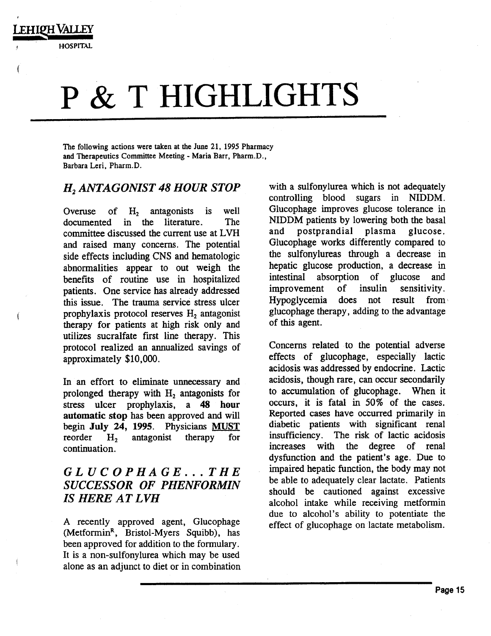# P & T HIGHLIGHTS

The following actions were taken at the June 21, 1995 Pharmacy and Therapeutics Committee Meeting- Maria Barr, Pharm.D., Barbara Leri, Pharm.D.

#### *H2 ANTAGONIST 48 HOUR STOP*

LEHiey:VAILEY

**HOSPITAL** 

Overuse of  $H_2$  antagonists is well documented in the literature. The committee discussed the current use at LVH and raised many concerns. The potential side effects including CNS and hematologic abnormalities appear to out weigh the benefits of routine use in hospitalized patients. One service has already addressed this issue. The trauma service stress ulcer prophylaxis protocol reserves  $H<sub>2</sub>$  antagonist therapy for patients at high risk only and utilizes sucralfate first line therapy. This protocol realized an annualized savings of approximately \$10,000.

In an effort to eliminate unnecessary and prolonged therapy with  $H_2$  antagonists for stress ulcer prophylaxis, a 48 hour automatic stop has been approved and will begin July 24, 1995. Physicians MUST reorder  $H_2$  antagonist therapy for continuation.

## *GLUCOPHAGE ... THE SUCCESSOR OF PHENFORMIN IS HERE AT LVH*

A recently approved agent, Glucophage (Metformin<sup>R</sup>, Bristol-Myers Squibb), has been approved for addition to the formulary. It is a non-sulfonylurea which may be used alone as an adjunct to diet or in combination with a sulfonylurea which is not adequately controlling blood sugars in NIDDM. Glucophage improves glucose tolerance in NIDDM patients by lowering both the basal and postprandial plasma glucose. Glucophage works differently compared to the sulfonylureas through a decrease in hepatic glucose production, a decrease in intestinal absorption of glucose and improvement of insulin sensitivity. Hypoglycemia does not result from, glucophage therapy, adding to the advantage of this agent.

Concerns related to the potential adverse effects of glucophage, especially lactic acidosis was addressed by endocrine. Lactic acidosis, though rare, can occur secondarily to accumulation of glucophage. When it occurs, it is fatal in 50% of the cases. Reported cases have occurred primarily in diabetic patients with significant renal insufficiency. The risk of lactic acidosis increases with the degree of renal dysfunction and the patient's age. Due to impaired hepatic function, the body may not be able to adequately clear lactate. Patients should be cautioned against excessive alcohol intake while receiving metformin due to alcohol's ability to potentiate the effect of glucophage on lactate metabolism.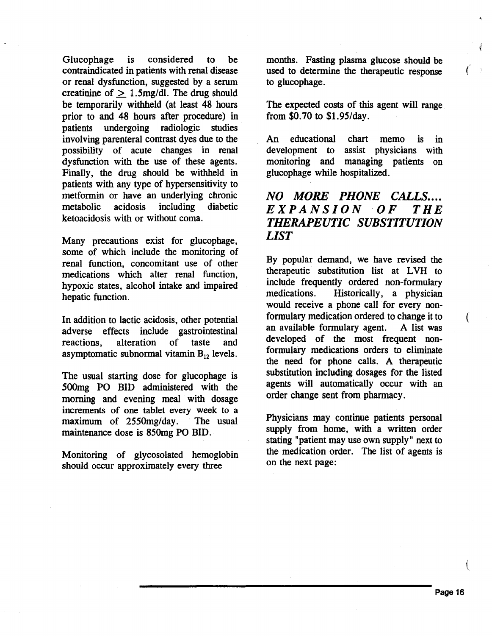Glucophage is considered to be contraindicated in patients with renal disease or renal dysfunction, suggested by a serum creatinine of  $\geq$  1.5mg/dl. The drug should be temporarily withheld (at least 48 hours prior to and 48 hours after procedure) in patients undergoing radiologic studies involving parenteral contrast dyes due to the possibility of acute changes in renal dysfunction with the use of these agents. Finally, the drug should be withheld in patients with any type of hypersensitivity to metformin or have an underlying chronic<br>metabolic acidosis including diabetic metabolic acidosis including diabetic ketoacidosis with or without coma.

Many precautions exist for glucophage, some of which include the monitoring of renal function, concomitant use of other medications which alter renal function, hypoxic states, alcohol intake and impaired hepatic function.

In addition to lactic acidosis, other potential adverse effects include gastrointestinal reactions, alteration of taste and asymptomatic subnormal vitamin  $B_{12}$  levels.

The usual starting dose for glucophage is 500mg PO BID administered with the morning and evening meal with dosage increments of one tablet every week to a maximum of 2550mg/day. The usual maintenance dose is 850mg PO BID.

Monitoring of glycosolated hemoglobin should occur approximately every three

months. Fasting plasma glucose should be used to determine the therapeutic response to glucophage.

(

(

The expected costs of this agent will range from \$0.70 to \$1.95/day.

An educational chart memo is in development to assist physicians with monitoring and managing patients on glucophage while hospitalized.

## *NO MORE PHONE CALLS .... EXPANSION OF THE THERAPEUTIC SUBSTITUTION LIST*

By popular demand, we have revised the therapeutic substitution list at LVH to include frequently ordered non-formulary medications. Historically, a physician would receive a phone call for every nonformulary medication ordered to change it to an available formulary agent. A list was developed of the most frequent nonformulary medications orders to eliminate the need for phone calls. A therapeutic substitution including dosages for the listed agents will automatically occur with an order change sent from pharmacy.

Physicians may continue patients personal supply from home, with a written order stating "patient may use own supply" next to the medication order. The list of agents is on the next page: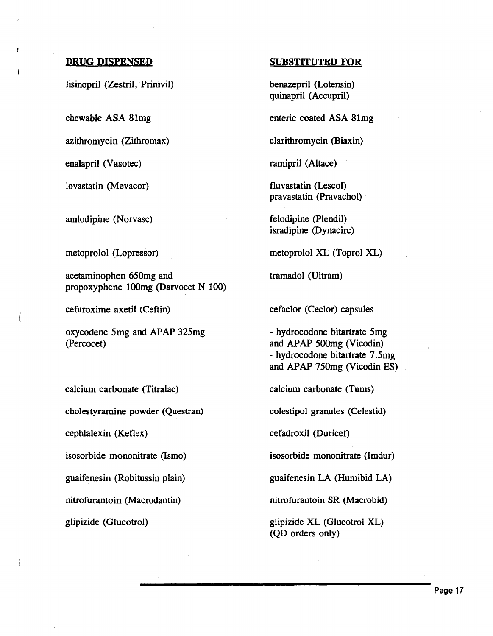#### DRUG DISPENSED

lisinopril (Zestril, Prinivil)

chewable ASA 81mg

azithromycin (Zithromax)

enalapril (Vasotec)

lovastatin (Mevacor)

amlodipine (Norvasc)

metoprolol (Lopressor)

acetaminophen 650mg and propoxyphene  $100mg$  (Darvocet N 100)

cefuroxime axetil (Ceftin)

oxycodene 5mg and APAP 325mg (Percocet)

calcium carbonate (Titralac)

cholestyramine powder (Questran)

cephlalexin (Keflex)

isosorbide mononitrate (lsmo)

guaifenesin (Robitussin plain)

nitrofurantoin (Macrodantin)

glipizide (Glucotrol)

#### SUBSTITUTED FOR

benazepril (Lotensin) quinapril (Accupril)

enteric coated ASA 81mg

clarithromycin (Biaxin)

ramipril (Altace)

fluvastatin (Lescol) pravastatin (Pravachol)

felodipine (Plendil) isradipine (Dynacirc)

metoprolol XL (Toprol XL)

tramadol (Ultram)

cefaclor (Ceclor) capsules

- hydrocodone bitartrate 5mg and APAP 500mg (Vicodin) - hydrocodone bitartrate 7. 5mg and APAP 750mg (Vicodin ES)

calcium carbonate (Tums)

colestipol granules (Celestid)

cefadroxil (Duricet)

isosorbide mononitrate (lmdur)

guaifenesin LA (Humibid LA)

nitrofurantoin SR (Macrobid)

glipizide XL (Glucotrol XL) (QD orders only)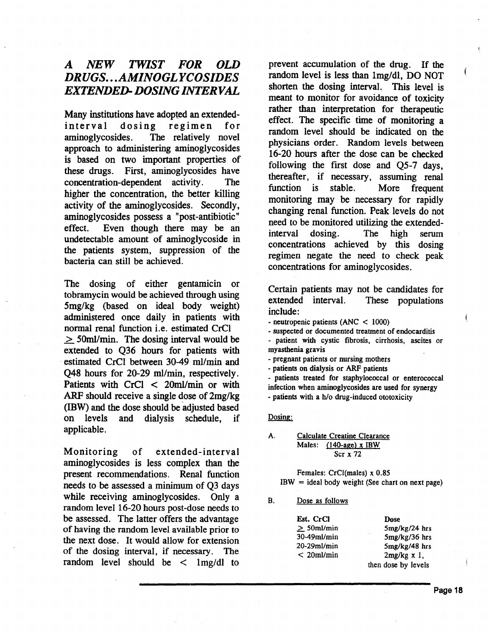## *A NEW TWIST FOR OLD DRUGS ..• AMINOGLYCOSIDES EXTENDED- DOSING INTERVAL*

Many institutions have adopted an extendedinterval dosing regimen for aminoglycosides. The relatively novel approach to administering aminoglycosides is based on two important properties of these drugs. First, aminoglycosides have concentration-dependent activity. The higher the concentration, the better killing activity of the aminoglycosides. Secondly, aminoglycosides possess a "post-antibiotic" effect. Even though there may be an undetectable amount of aminoglycoside in the patients system, suppression of the bacteria can still be achieved.

The dosing of either gentamicin or tobramycin would be achieved through using 5mg/kg (based on ideal body weight) administered once daily in patients with normal renal function *i.e.* estimated CrCl  $\geq$  50ml/min. The dosing interval would be extended to Q36 hours for patients with estimated CrCI between 30-49 ml/min and Q48 hours for 20-29 ml/min, respectively. Patients with CrCl < 20ml/min or with ARF should receive a single dose of 2mg/kg (IBW) and the dose should be adjusted based on levels and dialysis schedule, if applicable.

Monitoring of extended-interval aminoglycosides is less complex than the present recommendations. Renal function needs to be assessed a minimum of Q3 days while receiving aminoglycosides. Only a random level 16-20 hours post-dose needs to be assessed. The latter offers the advantage of having the random level available prior to the next dose. It would allow for extension of the dosing interval, if necessary. The random level should be  $\lt$  1 mg/dl to prevent accumulation of the drug. If the random level is less than lmg/dl, DO NOT shorten the dosing interval. This level is meant to monitor for avoidance of toxicity rather than interpretation for therapeutic effect. The specific time of monitoring a random level should be indicated on the physicians order. Random levels between 16-20 hours after the dose can be checked following the first dose and Q5-7 days, thereafter, if necessary, assuming renal function is stable. More frequent monitoring may be necessary for rapidly changing renal function. Peak levels do not need to be monitored utilizing the extendedinterval dosing. The high serum concentrations achieved by this dosing regimen negate the need to check peak concentrations for aminoglycosides.

Certain patients may not be candidates for extended interval. These populations include:

- neutropenic patients (ANC < 1000)
- suspected or documented treatment of endocarditis
- patient with cystic fibrosis, cirrhosis, ascites or myasthenia gravis
- pregnant patients or nursing mothers
- patients on dialysis or ARF patients

- patients treated for staphylococcal or enterococcal infection when aminoglycosides are used for synergy - patients with a h/o drug-induced ototoxicity

#### Dosing:

#### A. Calculate Creatine Clearance Males: (140-age) x IBW Scr x 72

Females: CrCI(males) x 0.85  $IBW = ideal body weight (See chart on next page)$ 

B. Dose as follows

| Est. CrCl       | Dose                 |
|-----------------|----------------------|
| $\geq$ 50ml/min | $5mg/kg/24$ hrs      |
| $30-49$ ml/min  | ٠<br>$5mg/kg/36$ hrs |
| $20-29ml/min$   | 5mg/kg/48 hrs        |
| $< 20$ ml/min   | $2mg/kg \times 1$ ,  |
|                 | then dose by levels  |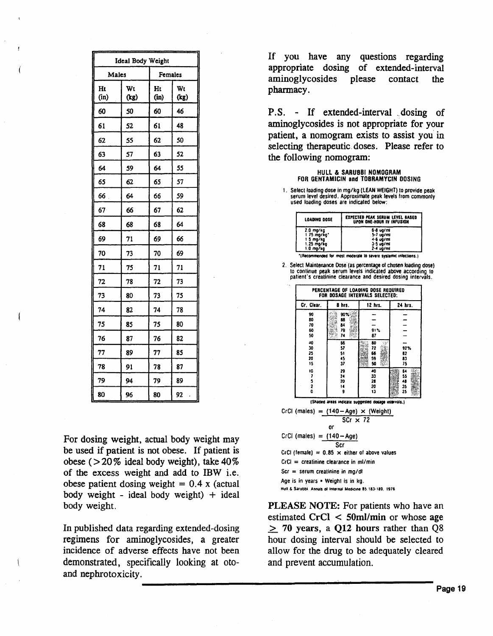| Ideal Body Weight |            |            |            |  |
|-------------------|------------|------------|------------|--|
| Males             |            | Females    |            |  |
| Ht<br>(in)        | Wt<br>(kg) | Ht<br>(in) | Wt<br>(kg) |  |
| 60                | 50         | 60         | 46         |  |
| 61                | 52         | 61         | 48         |  |
| 62                | 55         | 62         | 50         |  |
| 63                | 57         | 63         | 52         |  |
| 64                | 59         | 64         | 55         |  |
| 65                | 62         | 65         | 57         |  |
| 66                | 64         | 66         | 59         |  |
| 67                | 66         | 67         | 62         |  |
| 68                | 68         | 68         | 64         |  |
| 69                | 71         | 69         | 66         |  |
| 70                | 73         | 70         | 69         |  |
| 71                | 75         | 71         | 71         |  |
| 72                | 78         | 72         | 73         |  |
| 73                | 80         | 73         | 75         |  |
| 74                | 82         | 74         | 78         |  |
| 75                | 85         | 75         | 80         |  |
| 76                | 87         | 76         | 82         |  |
| 77                | 89         | 77         | 85         |  |
| 78                | 91         | 78         | 87         |  |
| 79                | 94         | 79         | 89         |  |
| 80                | 96         | 80         | 92         |  |

For dosing weight, actual body weight may be used if patient is not obese. If patient is obese ( $>$  20% ideal body weight), take 40% of the excess weight and add to IBW i.e. obese patient dosing weight  $= 0.4$  x (actual body weight - ideal body weight) + ideal body weight.

In published data regarding extended-dosing regimens for aminoglycosides, a greater incidence of adverse effects have not been demonstrated, specifically looking at otoand nephrotoxicity.

If you have any appropriate dosing aminoglycosides questions regarding of extended-interval please contact the pharmacy.

P.S. - If extended-interval dosing of aminoglycosides is not appropriate for your patient, a nomogram exists to assist you in selecting therapeutic. doses. Please refer to the following nomogram:

#### HULL & SARUBBI NOMOGRAM FOR GENTAMICIN and TOBRAMYCIN DOSING

1. Select loading dose in mg/k9 (LEAN WEIGHT) to provide peak serum level desired. Approximate peak levels from commonly used loading doses are indicated below:

| <b>LOADING DOSE</b> | EXPECTED PEAK SERUM LEVEL BASED<br>UPON ONE-HOUR IV INFUSION |
|---------------------|--------------------------------------------------------------|
| 2.0 mg/kg           | 6-8 ug/ml                                                    |
| 1.75 mo/kg*         | 5-7 ug/ml                                                    |
| 1 5 mg/ka           | $4-6$ ug/ml                                                  |
| 1.25 mg/kg          | $3.5$ ug/ml                                                  |
| 1.0 mg/ka           | $2-4$ ug/ml                                                  |

'IRecommended for most moderale to severe systemic infections.)

2. Select Maintenance Dose (as percentage of chosen loading dose) to continue peak serum levels indicated above according to patient's creatinine clearance and desired dosing intervals.



PLEASE NOTE: For patients who have an estimated CrCl < 50ml/min or whose age  $\geq$  70 years, a Q12 hours rather than Q8 hour dosing interval should be selected to allow for the drug to be adequately cleared and prevent accumulation.